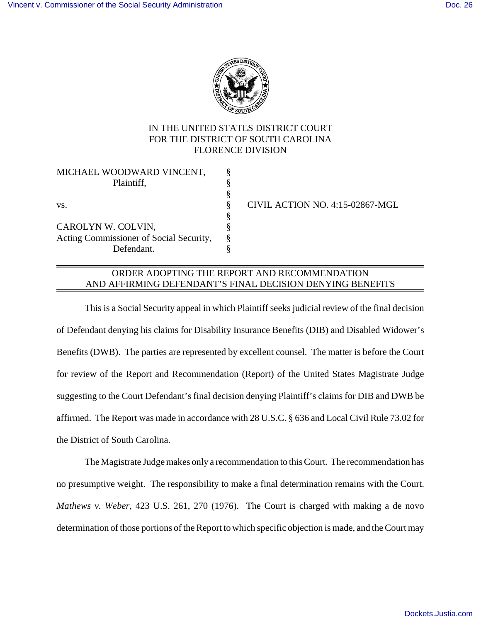

## IN THE UNITED STATES DISTRICT COURT FOR THE DISTRICT OF SOUTH CAROLINA FLORENCE DIVISION

| MICHAEL WOODWARD VINCENT,               |   |                 |
|-----------------------------------------|---|-----------------|
| Plaintiff,                              |   |                 |
|                                         |   |                 |
| VS.                                     | ö | <b>CIVIL AC</b> |
|                                         |   |                 |
| CAROLYN W. COLVIN,                      |   |                 |
| Acting Commissioner of Social Security, |   |                 |
| Defendant.                              |   |                 |

CIVIL ACTION NO. 4:15-02867-MGL

## ORDER ADOPTING THE REPORT AND RECOMMENDATION AND AFFIRMING DEFENDANT'S FINAL DECISION DENYING BENEFITS

This is a Social Security appeal in which Plaintiff seeks judicial review of the final decision of Defendant denying his claims for Disability Insurance Benefits (DIB) and Disabled Widower's Benefits (DWB). The parties are represented by excellent counsel. The matter is before the Court for review of the Report and Recommendation (Report) of the United States Magistrate Judge suggesting to the Court Defendant's final decision denying Plaintiff's claims for DIB and DWB be affirmed. The Report was made in accordance with 28 U.S.C. § 636 and Local Civil Rule 73.02 for the District of South Carolina.

The Magistrate Judge makes only a recommendation to this Court. The recommendation has no presumptive weight. The responsibility to make a final determination remains with the Court. *Mathews v. Weber*, 423 U.S. 261, 270 (1976). The Court is charged with making a de novo determination of those portions of the Report to which specific objection is made, and the Court may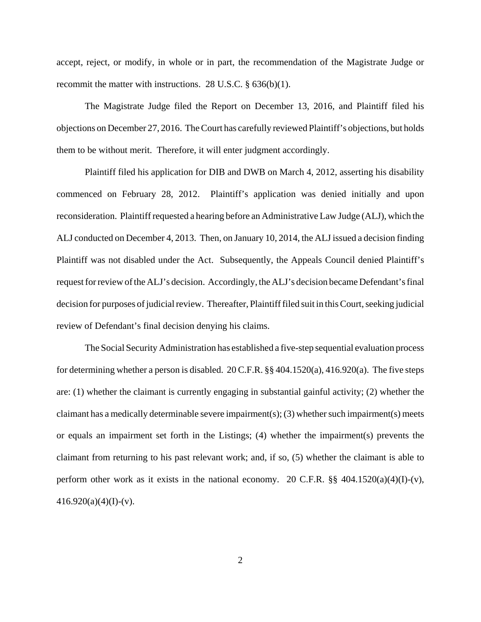accept, reject, or modify, in whole or in part, the recommendation of the Magistrate Judge or recommit the matter with instructions. 28 U.S.C. § 636(b)(1).

The Magistrate Judge filed the Report on December 13, 2016, and Plaintiff filed his objections on December 27, 2016. The Court has carefully reviewed Plaintiff's objections, but holds them to be without merit. Therefore, it will enter judgment accordingly.

Plaintiff filed his application for DIB and DWB on March 4, 2012, asserting his disability commenced on February 28, 2012. Plaintiff's application was denied initially and upon reconsideration. Plaintiff requested a hearing before an Administrative Law Judge (ALJ), which the ALJ conducted on December 4, 2013. Then, on January 10, 2014, the ALJ issued a decision finding Plaintiff was not disabled under the Act. Subsequently, the Appeals Council denied Plaintiff's request for review of the ALJ's decision. Accordingly, the ALJ's decision became Defendant's final decision for purposes of judicial review. Thereafter, Plaintiff filed suit in this Court, seeking judicial review of Defendant's final decision denying his claims.

The Social Security Administration has established a five-step sequential evaluation process for determining whether a person is disabled. 20 C.F.R. §§ 404.1520(a), 416.920(a). The five steps are: (1) whether the claimant is currently engaging in substantial gainful activity; (2) whether the claimant has a medically determinable severe impairment(s); (3) whether such impairment(s) meets or equals an impairment set forth in the Listings; (4) whether the impairment(s) prevents the claimant from returning to his past relevant work; and, if so, (5) whether the claimant is able to perform other work as it exists in the national economy. 20 C.F.R.  $\S$ § 404.1520(a)(4)(I)-(v),  $416.920(a)(4)(I)-(v)$ .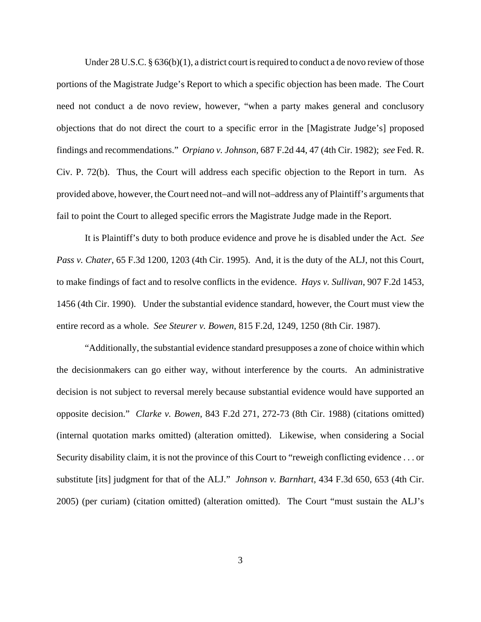Under 28 U.S.C. § 636(b)(1), a district court is required to conduct a de novo review of those portions of the Magistrate Judge's Report to which a specific objection has been made. The Court need not conduct a de novo review, however, "when a party makes general and conclusory objections that do not direct the court to a specific error in the [Magistrate Judge's] proposed findings and recommendations." *Orpiano v. Johnson*, 687 F.2d 44, 47 (4th Cir. 1982); *see* Fed. R. Civ. P. 72(b). Thus, the Court will address each specific objection to the Report in turn. As provided above, however, the Court need not–and will not–address any of Plaintiff's arguments that fail to point the Court to alleged specific errors the Magistrate Judge made in the Report.

It is Plaintiff's duty to both produce evidence and prove he is disabled under the Act. *See Pass v. Chater*, 65 F.3d 1200, 1203 (4th Cir. 1995). And, it is the duty of the ALJ, not this Court, to make findings of fact and to resolve conflicts in the evidence. *Hays v. Sullivan*, 907 F.2d 1453, 1456 (4th Cir. 1990). Under the substantial evidence standard, however, the Court must view the entire record as a whole. *See Steurer v. Bowen*, 815 F.2d, 1249, 1250 (8th Cir. 1987).

"Additionally, the substantial evidence standard presupposes a zone of choice within which the decisionmakers can go either way, without interference by the courts. An administrative decision is not subject to reversal merely because substantial evidence would have supported an opposite decision." *Clarke v. Bowen*, 843 F.2d 271, 272-73 (8th Cir. 1988) (citations omitted) (internal quotation marks omitted) (alteration omitted). Likewise, when considering a Social Security disability claim, it is not the province of this Court to "reweigh conflicting evidence . . . or substitute [its] judgment for that of the ALJ." *Johnson v. Barnhart*, 434 F.3d 650, 653 (4th Cir. 2005) (per curiam) (citation omitted) (alteration omitted). The Court "must sustain the ALJ's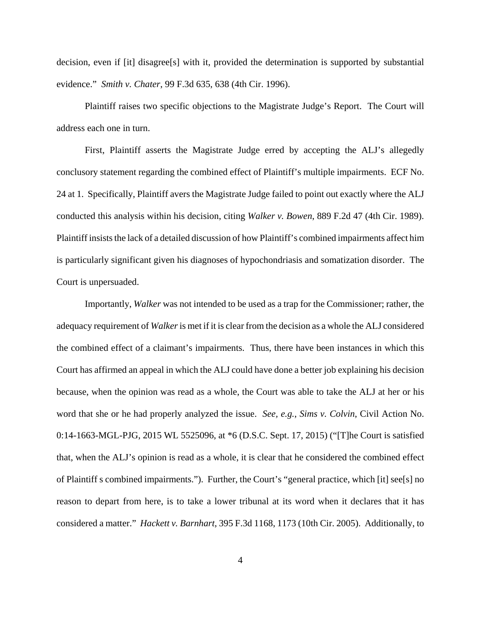decision, even if [it] disagree[s] with it, provided the determination is supported by substantial evidence." *Smith v. Chater*, 99 F.3d 635, 638 (4th Cir. 1996).

Plaintiff raises two specific objections to the Magistrate Judge's Report. The Court will address each one in turn.

First, Plaintiff asserts the Magistrate Judge erred by accepting the ALJ's allegedly conclusory statement regarding the combined effect of Plaintiff's multiple impairments. ECF No. 24 at 1. Specifically, Plaintiff avers the Magistrate Judge failed to point out exactly where the ALJ conducted this analysis within his decision, citing *Walker v. Bowen*, 889 F.2d 47 (4th Cir. 1989). Plaintiff insists the lack of a detailed discussion of how Plaintiff's combined impairments affect him is particularly significant given his diagnoses of hypochondriasis and somatization disorder. The Court is unpersuaded.

Importantly, *Walker* was not intended to be used as a trap for the Commissioner; rather, the adequacy requirement of *Walker* is met if it is clear from the decision as a whole the ALJ considered the combined effect of a claimant's impairments. Thus, there have been instances in which this Court has affirmed an appeal in which the ALJ could have done a better job explaining his decision because, when the opinion was read as a whole, the Court was able to take the ALJ at her or his word that she or he had properly analyzed the issue. *See, e.g.*, *Sims v. Colvin*, Civil Action No. 0:14-1663-MGL-PJG, 2015 WL 5525096, at \*6 (D.S.C. Sept. 17, 2015) ("[T]he Court is satisfied that, when the ALJ's opinion is read as a whole, it is clear that he considered the combined effect of Plaintiff s combined impairments."). Further, the Court's "general practice, which [it] see[s] no reason to depart from here, is to take a lower tribunal at its word when it declares that it has considered a matter." *Hackett v. Barnhart*, 395 F.3d 1168, 1173 (10th Cir. 2005). Additionally, to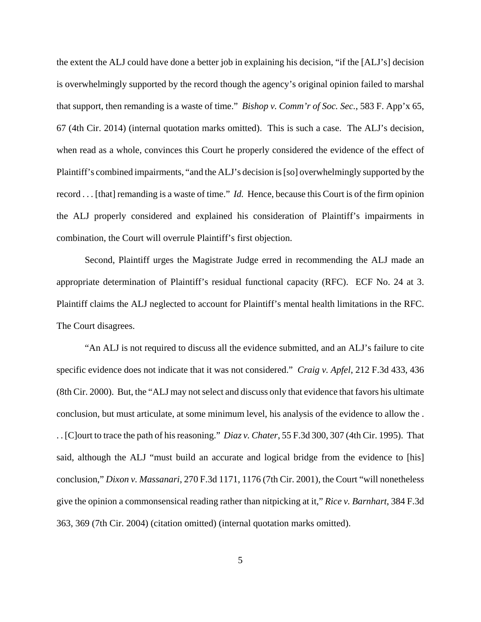the extent the ALJ could have done a better job in explaining his decision, "if the [ALJ's] decision is overwhelmingly supported by the record though the agency's original opinion failed to marshal that support, then remanding is a waste of time." *Bishop v. Comm'r of Soc. Sec.*, 583 F. App'x 65, 67 (4th Cir. 2014) (internal quotation marks omitted). This is such a case. The ALJ's decision, when read as a whole, convinces this Court he properly considered the evidence of the effect of Plaintiff's combined impairments, "and the ALJ's decision is [so] overwhelmingly supported by the record . . . [that] remanding is a waste of time." *Id.* Hence, because this Court is of the firm opinion the ALJ properly considered and explained his consideration of Plaintiff's impairments in combination, the Court will overrule Plaintiff's first objection.

Second, Plaintiff urges the Magistrate Judge erred in recommending the ALJ made an appropriate determination of Plaintiff's residual functional capacity (RFC). ECF No. 24 at 3. Plaintiff claims the ALJ neglected to account for Plaintiff's mental health limitations in the RFC. The Court disagrees.

"An ALJ is not required to discuss all the evidence submitted, and an ALJ's failure to cite specific evidence does not indicate that it was not considered." *Craig v. Apfel*, 212 F.3d 433, 436 (8th Cir. 2000). But, the "ALJ may not select and discuss only that evidence that favors his ultimate conclusion, but must articulate, at some minimum level, his analysis of the evidence to allow the . . . [C]ourt to trace the path of his reasoning." *Diaz v. Chater*, 55 F.3d 300, 307 (4th Cir. 1995). That said, although the ALJ "must build an accurate and logical bridge from the evidence to [his] conclusion," *Dixon v. Massanari*, 270 F.3d 1171, 1176 (7th Cir. 2001), the Court "will nonetheless give the opinion a commonsensical reading rather than nitpicking at it," *Rice v. Barnhart*, 384 F.3d 363, 369 (7th Cir. 2004) (citation omitted) (internal quotation marks omitted).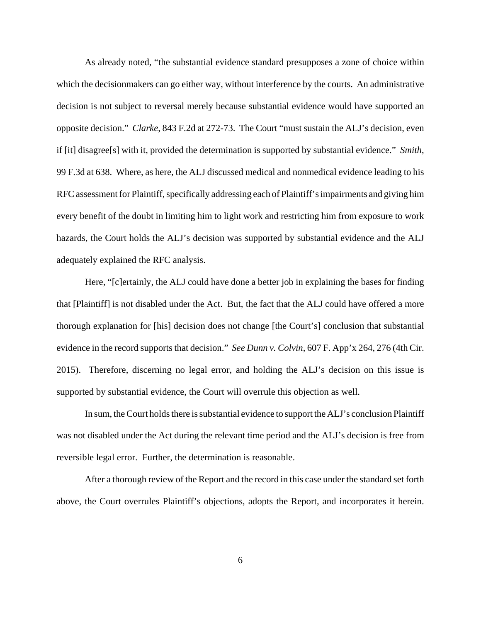As already noted, "the substantial evidence standard presupposes a zone of choice within which the decisionmakers can go either way, without interference by the courts. An administrative decision is not subject to reversal merely because substantial evidence would have supported an opposite decision." *Clarke*, 843 F.2d at 272-73. The Court "must sustain the ALJ's decision, even if [it] disagree[s] with it, provided the determination is supported by substantial evidence." *Smith*, 99 F.3d at 638. Where, as here, the ALJ discussed medical and nonmedical evidence leading to his RFC assessment for Plaintiff, specifically addressing each of Plaintiff's impairments and giving him every benefit of the doubt in limiting him to light work and restricting him from exposure to work hazards, the Court holds the ALJ's decision was supported by substantial evidence and the ALJ adequately explained the RFC analysis.

Here, "[c]ertainly, the ALJ could have done a better job in explaining the bases for finding that [Plaintiff] is not disabled under the Act. But, the fact that the ALJ could have offered a more thorough explanation for [his] decision does not change [the Court's] conclusion that substantial evidence in the record supports that decision." *See Dunn v. Colvin*, 607 F. App'x 264, 276 (4th Cir. 2015). Therefore, discerning no legal error, and holding the ALJ's decision on this issue is supported by substantial evidence, the Court will overrule this objection as well.

In sum, the Court holds there is substantial evidence to support the ALJ's conclusion Plaintiff was not disabled under the Act during the relevant time period and the ALJ's decision is free from reversible legal error. Further, the determination is reasonable.

After a thorough review of the Report and the record in this case under the standard set forth above, the Court overrules Plaintiff's objections, adopts the Report, and incorporates it herein.